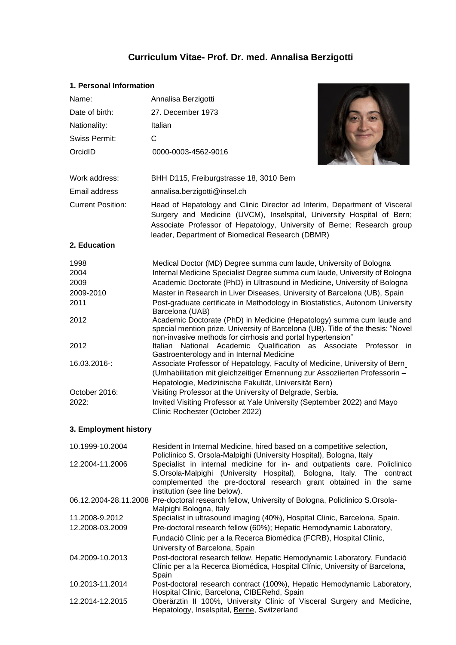# **Curriculum Vitae- Prof. Dr. med. Annalisa Berzigotti**

# **1. Personal Information**

| Name:                             | Annalisa Berzigotti                                                                                                                                                                                                                                                                                                                                                                                                                                                                                                     |  |  |  |  |
|-----------------------------------|-------------------------------------------------------------------------------------------------------------------------------------------------------------------------------------------------------------------------------------------------------------------------------------------------------------------------------------------------------------------------------------------------------------------------------------------------------------------------------------------------------------------------|--|--|--|--|
| Date of birth:                    | 27. December 1973                                                                                                                                                                                                                                                                                                                                                                                                                                                                                                       |  |  |  |  |
| Nationality:                      | Italian                                                                                                                                                                                                                                                                                                                                                                                                                                                                                                                 |  |  |  |  |
| Swiss Permit:                     | C                                                                                                                                                                                                                                                                                                                                                                                                                                                                                                                       |  |  |  |  |
| OrcidID                           | 0000-0003-4562-9016                                                                                                                                                                                                                                                                                                                                                                                                                                                                                                     |  |  |  |  |
| Work address:                     | BHH D115, Freiburgstrasse 18, 3010 Bern                                                                                                                                                                                                                                                                                                                                                                                                                                                                                 |  |  |  |  |
| Email address                     | annalisa.berzigotti@insel.ch                                                                                                                                                                                                                                                                                                                                                                                                                                                                                            |  |  |  |  |
| <b>Current Position:</b>          | Head of Hepatology and Clinic Director ad Interim, Department of Visceral<br>Surgery and Medicine (UVCM), Inselspital, University Hospital of Bern;<br>Associate Professor of Hepatology, University of Berne; Research group<br>leader, Department of Biomedical Research (DBMR)                                                                                                                                                                                                                                       |  |  |  |  |
| 2. Education                      |                                                                                                                                                                                                                                                                                                                                                                                                                                                                                                                         |  |  |  |  |
| 1998<br>2004<br>2009<br>2009-2010 | Medical Doctor (MD) Degree summa cum laude, University of Bologna<br>Internal Medicine Specialist Degree summa cum laude, University of Bologna<br>Academic Doctorate (PhD) in Ultrasound in Medicine, University of Bologna<br>Master in Research in Liver Diseases, University of Barcelona (UB), Spain                                                                                                                                                                                                               |  |  |  |  |
| 2011                              | Post-graduate certificate in Methodology in Biostatistics, Autonom University<br>Barcelona (UAB)                                                                                                                                                                                                                                                                                                                                                                                                                        |  |  |  |  |
| 2012                              | Academic Doctorate (PhD) in Medicine (Hepatology) summa cum laude and<br>special mention prize, University of Barcelona (UB). Title of the thesis: "Novel<br>non-invasive methods for cirrhosis and portal hypertension"                                                                                                                                                                                                                                                                                                |  |  |  |  |
| 2012<br>16.03.2016-:              | National Academic Qualification as Associate Professor<br>Italian<br>- in<br>Gastroenterology and in Internal Medicine<br>Associate Professor of Hepatology, Faculty of Medicine, University of Bern<br>(Umhabilitation mit gleichzeitiger Ernennung zur Assoziierten Professorin -<br>Hepatologie, Medizinische Fakultät, Universität Bern)<br>Visiting Professor at the University of Belgrade, Serbia.<br>Invited Visiting Professor at Yale University (September 2022) and Mayo<br>Clinic Rochester (October 2022) |  |  |  |  |
| October 2016:<br>2022:            |                                                                                                                                                                                                                                                                                                                                                                                                                                                                                                                         |  |  |  |  |
| 3. Employment history             |                                                                                                                                                                                                                                                                                                                                                                                                                                                                                                                         |  |  |  |  |
| 10.1999-10.2004                   | Resident in Internal Medicine, hired based on a competitive selection,<br>Policlinico S. Orsola-Malpighi (University Hospital), Bologna, Italy                                                                                                                                                                                                                                                                                                                                                                          |  |  |  |  |
| 12.2004-11.2006                   | Specialist in internal medicine for in- and outpatients care. Policlinico<br>S.Orsola-Malpighi (University Hospital), Bologna, Italy. The contract<br>complemented the pre-doctoral research grant obtained in the same<br>institution (see line below).                                                                                                                                                                                                                                                                |  |  |  |  |
|                                   | 06.12.2004-28.11.2008 Pre-doctoral research fellow, University of Bologna, Policlinico S.Orsola-<br>Malpighi Bologna, Italy                                                                                                                                                                                                                                                                                                                                                                                             |  |  |  |  |
| 11.2008-9.2012                    | Specialist in ultrasound imaging (40%), Hospital Clinic, Barcelona, Spain.                                                                                                                                                                                                                                                                                                                                                                                                                                              |  |  |  |  |
| 12.2008-03.2009                   | Pre-doctoral research fellow (60%); Hepatic Hemodynamic Laboratory,<br>Fundació Clínic per a la Recerca Biomédica (FCRB), Hospital Clínic,<br>University of Barcelona, Spain                                                                                                                                                                                                                                                                                                                                            |  |  |  |  |
| 04.2009-10.2013                   | Post-doctoral research fellow, Hepatic Hemodynamic Laboratory, Fundació<br>Clínic per a la Recerca Biomédica, Hospital Clínic, University of Barcelona,<br>Spain                                                                                                                                                                                                                                                                                                                                                        |  |  |  |  |

10.2013-11.2014 Post-doctoral research contract (100%), Hepatic Hemodynamic Laboratory, Hospital Clinic, Barcelona, CIBERehd, Spain 12.2014-12.2015 Oberärztin II 100%, University Clinic of Visceral Surgery and Medicine, Hepatology, Inselspital, Berne, Switzerland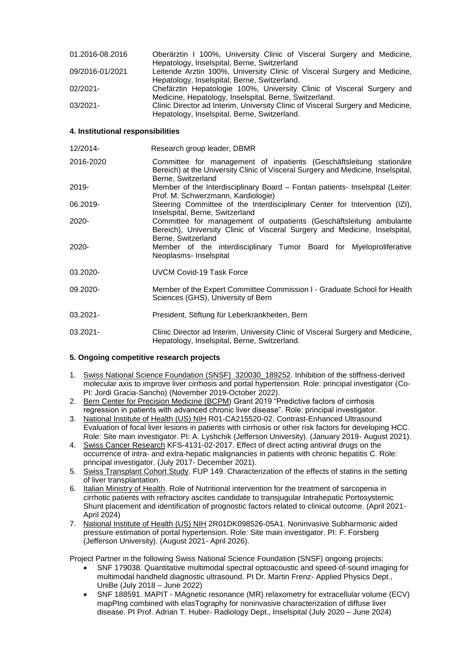| 01.2016-08.2016 | Oberärztin I 100%, University Clinic of Visceral Surgery and Medicine,          |
|-----------------|---------------------------------------------------------------------------------|
|                 | Hepatology, Inselspital, Berne, Switzerland                                     |
| 09/2016-01/2021 | Leitende Arztin 100%, University Clinic of Visceral Surgery and Medicine,       |
|                 | Hepatology, Inselspital, Berne, Switzerland.                                    |
| 02/2021-        | Chefärztin Hepatologie 100%, University Clinic of Visceral Surgery and          |
|                 | Medicine, Hepatology, Inselspital, Berne, Switzerland.                          |
| 03/2021-        | Clinic Director ad Interim, University Clinic of Visceral Surgery and Medicine, |
|                 | Hepatology, Inselspital, Berne, Switzerland.                                    |

## **4. Institutional responsibilities**

| 12/2014-    | Research group leader, DBMR                                                                                                                                                   |  |  |  |  |  |
|-------------|-------------------------------------------------------------------------------------------------------------------------------------------------------------------------------|--|--|--|--|--|
| 2016-2020   | Committee for management of inpatients (Geschäftsleitung stationäre<br>Bereich) at the University Clinic of Visceral Surgery and Medicine, Inselspital,<br>Berne, Switzerland |  |  |  |  |  |
| 2019-       | Member of the Interdisciplinary Board – Fontan patients- Inselspital (Leiter:<br>Prof. M. Schwerzmann, Kardiologie)                                                           |  |  |  |  |  |
| 06.2019-    | Steering Committee of the Interdisciplinary Center for Intervention (IZI),<br>Inselspital, Berne, Switzerland                                                                 |  |  |  |  |  |
| 2020-       | Committee for management of outpatients (Geschäftsleitung ambulante<br>Bereich), University Clinic of Visceral Surgery and Medicine, Inselspital,<br>Berne, Switzerland       |  |  |  |  |  |
| 2020-       | Member of the interdisciplinary Tumor Board for Myeloproliferative<br>Neoplasms- Inselspital                                                                                  |  |  |  |  |  |
| 03.2020-    | UVCM Covid-19 Task Force                                                                                                                                                      |  |  |  |  |  |
| 09.2020-    | Member of the Expert Committee Commission I - Graduate School for Health<br>Sciences (GHS), University of Bern                                                                |  |  |  |  |  |
| 03.2021-    | President, Stiftung für Leberkrankheiten, Bern                                                                                                                                |  |  |  |  |  |
| $03.2021 -$ | Clinic Director ad Interim, University Clinic of Visceral Surgery and Medicine,<br>Hepatology, Inselspital, Berne, Switzerland.                                               |  |  |  |  |  |

## **5. Ongoing competitive research projects**

- 1. Swiss National Science Foundation (SNSF) 320030 189252. Inhibition of the stiffness-derived molecular axis to improve liver cirrhosis and portal hypertension. Role: principal investigator (Co-PI: Jordi Gracia-Sancho) (November 2019-October 2022).
- 2. Bern Center for Precision Medicine (BCPM) Grant 2019 "Predictive factors of cirrhosis regression in patients with advanced chronic liver disease". Role: principal investigator.
- 3. National Institute of Health (US) NIH R01-CA215520-02. Contrast-Enhanced Ultrasound Evaluation of focal liver lesions in patients with cirrhosis or other risk factors for developing HCC. Role: Site main investigator. PI: A. Lyshchik (Jefferson University). (January 2019- August 2021).
- 4. Swiss Cancer Research KFS-4131-02-2017. Effect of direct acting antiviral drugs on the occurrence of intra- and extra-hepatic malignancies in patients with chronic hepatitis C. Role: principal investigator. (July 2017- December 2021).
- 5. Swiss Transplant Cohort Study. FUP 149. Characterization of the effects of statins in the setting of liver transplantation.
- 6. Italian Ministry of Health. Role of Nutritional intervention for the treatment of sarcopenia in cirrhotic patients with refractory ascites candidate to transjugular Intrahepatic Portosystemic Shunt placement and identification of prognostic factors related to clinical outcome. (April 2021- April 2024)
- 7. National Institute of Health (US) NIH 2R01DK098526-05A1. Noninvasive Subharmonic aided pressure estimation of portal hypertension. Role: Site main investigator. PI: F. Forsberg (Jefferson University). (August 2021- April 2026).

Project Partner in the following Swiss National Science Foundation (SNSF) ongoing projects:

- SNF 179038. Quantitative multimodal spectral optoacoustic and speed-of-sound imaging for multimodal handheld diagnostic ultrasound. PI Dr. Martin Frenz- Applied Physics Dept., UniBe (July 2018 – June 2022)
- SNF 188591. MAPIT MAgnetic resonance (MR) relaxometry for extracellular volume (ECV) mapPIng combined with elasTography for noninvasive characterization of diffuse liver disease. PI Prof. Adrian T. Huber- Radiology Dept., Inselspital (July 2020 – June 2024)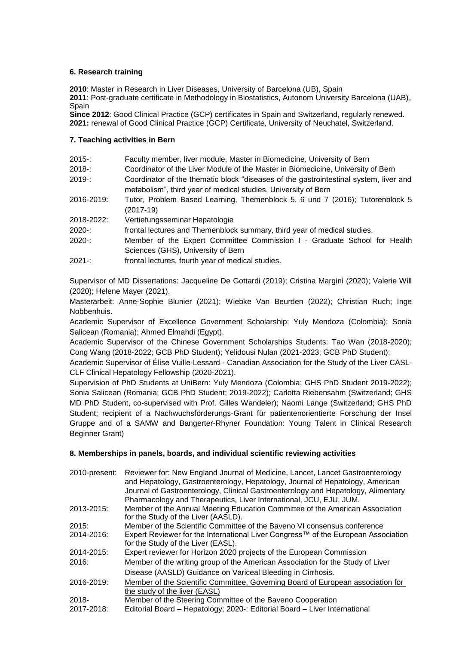# **6. Research training**

**2010**: Master in Research in Liver Diseases, University of Barcelona (UB), Spain

**2011**: Post-graduate certificate in Methodology in Biostatistics, Autonom University Barcelona (UAB), **Spain** 

**Since 2012**: Good Clinical Practice (GCP) certificates in Spain and Switzerland, regularly renewed. **2021:** renewal of Good Clinical Practice (GCP) Certificate, University of Neuchatel, Switzerland.

## **7. Teaching activities in Bern**

| 2015-:     | Faculty member, liver module, Master in Biomedicine, University of Bern                                                                                 |
|------------|---------------------------------------------------------------------------------------------------------------------------------------------------------|
| 2018-:     | Coordinator of the Liver Module of the Master in Biomedicine, University of Bern                                                                        |
| 2019-:     | Coordinator of the thematic block "diseases of the gastrointestinal system, liver and<br>metabolism", third year of medical studies, University of Bern |
| 2016-2019: | Tutor, Problem Based Learning, Themenblock 5, 6 und 7 (2016); Tutorenblock 5<br>$(2017-19)$                                                             |
| 2018-2022: | Vertiefungsseminar Hepatologie                                                                                                                          |
| 2020-:     | frontal lectures and Themenblock summary, third year of medical studies.                                                                                |
| 2020-:     | Member of the Expert Committee Commission I - Graduate School for Health<br>Sciences (GHS), University of Bern                                          |
| $2021 -$   | frontal lectures, fourth year of medical studies.                                                                                                       |

Supervisor of MD Dissertations: Jacqueline De Gottardi (2019); Cristina Margini (2020); Valerie Will (2020); Helene Mayer (2021).

Masterarbeit: Anne-Sophie Blunier (2021); Wiebke Van Beurden (2022); Christian Ruch; Inge Nobbenhuis.

Academic Supervisor of Excellence Government Scholarship: Yuly Mendoza (Colombia); Sonia Salicean (Romania); Ahmed Elmahdi (Egypt).

Academic Supervisor of the Chinese Government Scholarships Students: Tao Wan (2018-2020); Cong Wang (2018-2022; GCB PhD Student); Yelidousi Nulan (2021-2023; GCB PhD Student);

Academic Supervisor of Élise Vuille-Lessard - Canadian Association for the Study of the Liver CASL-CLF Clinical Hepatology Fellowship (2020-2021).

Supervision of PhD Students at UniBern: Yuly Mendoza (Colombia; GHS PhD Student 2019-2022); Sonia Salicean (Romania; GCB PhD Student; 2019-2022); Carlotta Riebensahm (Switzerland; GHS MD PhD Student, co-supervised with Prof. Gilles Wandeler); Naomi Lange (Switzerland; GHS PhD Student; recipient of a Nachwuchsförderungs-Grant für patientenorientierte Forschung der Insel Gruppe and of a SAMW and Bangerter-Rhyner Foundation: Young Talent in Clinical Research Beginner Grant)

# **8. Memberships in panels, boards, and individual scientific reviewing activities**

| 2010-present: | Reviewer for: New England Journal of Medicine, Lancet, Lancet Gastroenterology<br>and Hepatology, Gastroenterology, Hepatology, Journal of Hepatology, American<br>Journal of Gastroenterology, Clinical Gastroenterology and Hepatology, Alimentary<br>Pharmacology and Therapeutics, Liver International, JCU, EJU, JUM. |
|---------------|----------------------------------------------------------------------------------------------------------------------------------------------------------------------------------------------------------------------------------------------------------------------------------------------------------------------------|
| 2013-2015:    | Member of the Annual Meeting Education Committee of the American Association<br>for the Study of the Liver (AASLD).                                                                                                                                                                                                        |
| 2015:         | Member of the Scientific Committee of the Baveno VI consensus conference                                                                                                                                                                                                                                                   |
| 2014-2016:    | Expert Reviewer for the International Liver Congress™ of the European Association<br>for the Study of the Liver (EASL).                                                                                                                                                                                                    |
| 2014-2015:    | Expert reviewer for Horizon 2020 projects of the European Commission                                                                                                                                                                                                                                                       |
| 2016:         | Member of the writing group of the American Association for the Study of Liver                                                                                                                                                                                                                                             |
|               | Disease (AASLD) Guidance on Variceal Bleeding in Cirrhosis.                                                                                                                                                                                                                                                                |
| 2016-2019:    | Member of the Scientific Committee, Governing Board of European association for<br>the study of the liver (EASL)                                                                                                                                                                                                           |
| $2018 -$      | Member of the Steering Committee of the Baveno Cooperation                                                                                                                                                                                                                                                                 |
| 2017-2018:    | Editorial Board - Hepatology; 2020-: Editorial Board - Liver International                                                                                                                                                                                                                                                 |